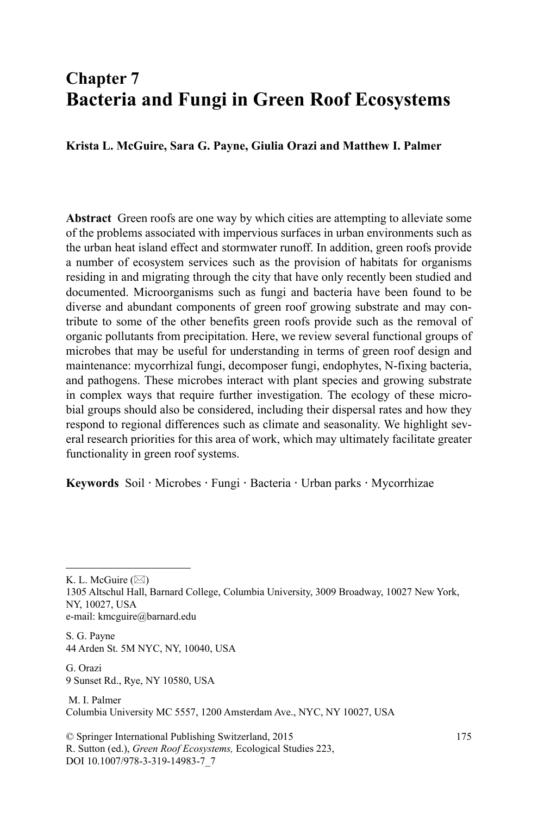# **Chapter 7 Bacteria and Fungi in Green Roof Ecosystems**

**Krista L. McGuire, Sara G. Payne, Giulia Orazi and Matthew I. Palmer**

**Abstract** Green roofs are one way by which cities are attempting to alleviate some of the problems associated with impervious surfaces in urban environments such as the urban heat island effect and stormwater runoff. In addition, green roofs provide a number of ecosystem services such as the provision of habitats for organisms residing in and migrating through the city that have only recently been studied and documented. Microorganisms such as fungi and bacteria have been found to be diverse and abundant components of green roof growing substrate and may contribute to some of the other benefits green roofs provide such as the removal of organic pollutants from precipitation. Here, we review several functional groups of microbes that may be useful for understanding in terms of green roof design and maintenance: mycorrhizal fungi, decomposer fungi, endophytes, N-fixing bacteria, and pathogens. These microbes interact with plant species and growing substrate in complex ways that require further investigation. The ecology of these microbial groups should also be considered, including their dispersal rates and how they respond to regional differences such as climate and seasonality. We highlight several research priorities for this area of work, which may ultimately facilitate greater functionality in green roof systems.

**Keywords** Soil **·** Microbes **·** Fungi **·** Bacteria **·** Urban parks **·** Mycorrhizae

K. L. McGuire  $(\boxtimes)$ 

e-mail: [kmcguire@barnard.edu](mailto:kmcguire%40barnard.edu?subject=)

S. G. Payne 44 Arden St. 5M NYC, NY, 10040, USA

G. Orazi 9 Sunset Rd., Rye, NY 10580, USA

<sup>1305</sup> Altschul Hall, Barnard College, Columbia University, 3009 Broadway, 10027 New York, NY, 10027, USA

M. I. Palmer Columbia University MC 5557, 1200 Amsterdam Ave., NYC, NY 10027, USA

<sup>©</sup> Springer International Publishing Switzerland, 2015 R. Sutton (ed.), *Green Roof Ecosystems,* Ecological Studies 223, DOI 10.1007/978-3-319-14983-7\_7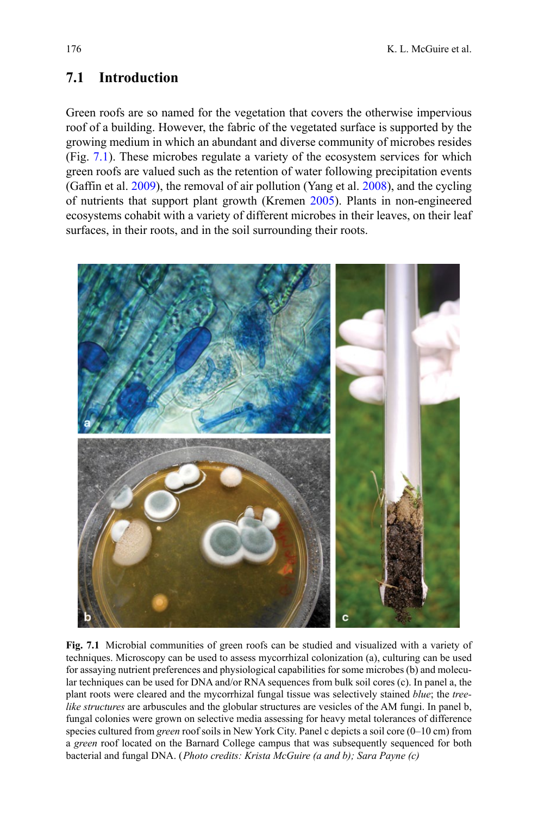# **7.1 Introduction**

Green roofs are so named for the vegetation that covers the otherwise impervious roof of a building. However, the fabric of the vegetated surface is supported by the growing medium in which an abundant and diverse community of microbes resides (Fig. [7.1\)](#page-1-0). These microbes regulate a variety of the ecosystem services for which green roofs are valued such as the retention of water following precipitation events (Gaffin et al. [2009](#page-13-0)), the removal of air pollution (Yang et al. [2008](#page-15-0)), and the cycling of nutrients that support plant growth (Kremen [2005](#page-13-1)). Plants in non-engineered ecosystems cohabit with a variety of different microbes in their leaves, on their leaf surfaces, in their roots, and in the soil surrounding their roots.

<span id="page-1-0"></span>

**Fig. 7.1** Microbial communities of green roofs can be studied and visualized with a variety of techniques. Microscopy can be used to assess mycorrhizal colonization (a), culturing can be used for assaying nutrient preferences and physiological capabilities for some microbes (b) and molecular techniques can be used for DNA and/or RNA sequences from bulk soil cores (c). In panel a, the plant roots were cleared and the mycorrhizal fungal tissue was selectively stained *blue*; the *treelike structures* are arbuscules and the globular structures are vesicles of the AM fungi. In panel b, fungal colonies were grown on selective media assessing for heavy metal tolerances of difference species cultured from *green* roof soils in New York City. Panel c depicts a soil core (0–10 cm) from a *green* roof located on the Barnard College campus that was subsequently sequenced for both bacterial and fungal DNA. ( *Photo credits: Krista McGuire (a and b); Sara Payne (c)*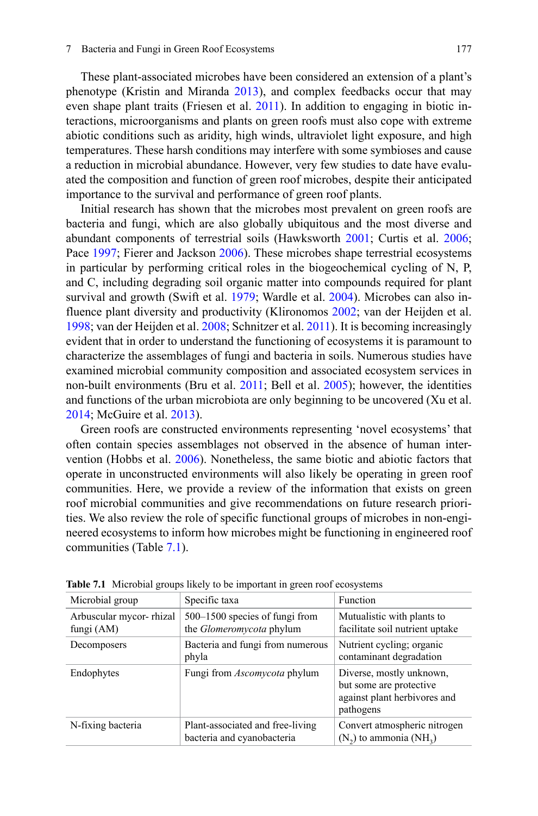These plant-associated microbes have been considered an extension of a plant's phenotype (Kristin and Miranda [2013\)](#page-13-2), and complex feedbacks occur that may even shape plant traits (Friesen et al. [2011\)](#page-13-3). In addition to engaging in biotic interactions, microorganisms and plants on green roofs must also cope with extreme abiotic conditions such as aridity, high winds, ultraviolet light exposure, and high temperatures. These harsh conditions may interfere with some symbioses and cause a reduction in microbial abundance. However, very few studies to date have evaluated the composition and function of green roof microbes, despite their anticipated importance to the survival and performance of green roof plants.

Initial research has shown that the microbes most prevalent on green roofs are bacteria and fungi, which are also globally ubiquitous and the most diverse and abundant components of terrestrial soils (Hawksworth [2001](#page-13-4); Curtis et al. [2006;](#page-12-0) Pace [1997](#page-14-0); Fierer and Jackson [2006](#page-13-5)). These microbes shape terrestrial ecosystems in particular by performing critical roles in the biogeochemical cycling of N, P, and C, including degrading soil organic matter into compounds required for plant survival and growth (Swift et al. [1979;](#page-15-1) Wardle et al. [2004\)](#page-15-2). Microbes can also influence plant diversity and productivity (Klironomos [2002](#page-13-6); van der Heijden et al. [1998;](#page-15-3) van der Heijden et al. [2008;](#page-15-4) Schnitzer et al. [2011](#page-14-1)). It is becoming increasingly evident that in order to understand the functioning of ecosystems it is paramount to characterize the assemblages of fungi and bacteria in soils. Numerous studies have examined microbial community composition and associated ecosystem services in non-built environments (Bru et al. [2011;](#page-12-1) Bell et al. [2005\)](#page-12-2); however, the identities and functions of the urban microbiota are only beginning to be uncovered (Xu et al. [2014;](#page-15-5) McGuire et al. [2013\)](#page-14-2).

Green roofs are constructed environments representing 'novel ecosystems' that often contain species assemblages not observed in the absence of human intervention (Hobbs et al. [2006](#page-13-7)). Nonetheless, the same biotic and abiotic factors that operate in unconstructed environments will also likely be operating in green roof communities. Here, we provide a review of the information that exists on green roof microbial communities and give recommendations on future research priorities. We also review the role of specific functional groups of microbes in non-engineered ecosystems to inform how microbes might be functioning in engineered roof communities (Table [7.1](#page-2-0)).

| Microbial group                       | Specific taxa                                                       | Function                                                                                         |
|---------------------------------------|---------------------------------------------------------------------|--------------------------------------------------------------------------------------------------|
| Arbuscular mycor-rhizal<br>fungi (AM) | $500-1500$ species of fungi from<br>the <i>Glomeromycota</i> phylum | Mutualistic with plants to<br>facilitate soil nutrient uptake                                    |
| Decomposers                           | Bacteria and fungi from numerous<br>phyla                           | Nutrient cycling; organic<br>contaminant degradation                                             |
| Endophytes                            | Fungi from <i>Ascomycota</i> phylum                                 | Diverse, mostly unknown,<br>but some are protective<br>against plant herbivores and<br>pathogens |
| N-fixing bacteria                     | Plant-associated and free-living<br>bacteria and cyanobacteria      | Convert atmospheric nitrogen<br>$(N_2)$ to ammonia $(NH_2)$                                      |

<span id="page-2-0"></span>**Table 7.1** Microbial groups likely to be important in green roof ecosystems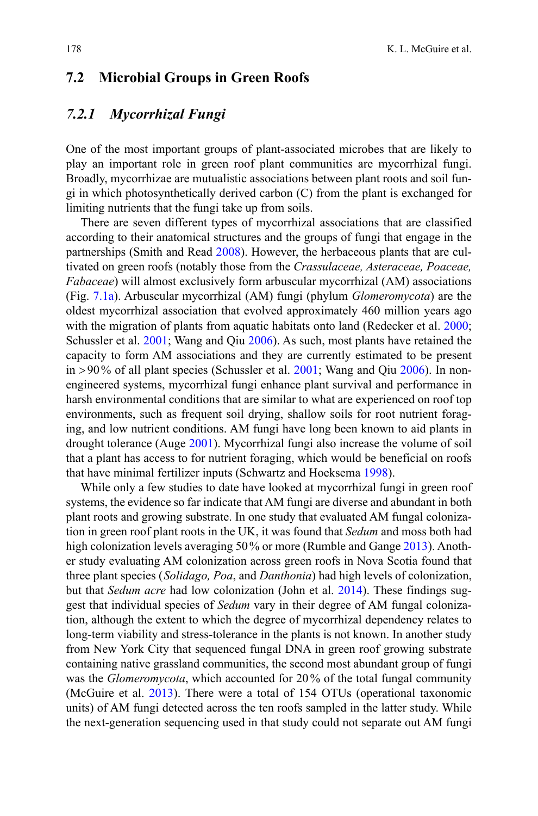#### **7.2 Microbial Groups in Green Roofs**

#### *7.2.1 Mycorrhizal Fungi*

One of the most important groups of plant-associated microbes that are likely to play an important role in green roof plant communities are mycorrhizal fungi. Broadly, mycorrhizae are mutualistic associations between plant roots and soil fungi in which photosynthetically derived carbon (C) from the plant is exchanged for limiting nutrients that the fungi take up from soils.

There are seven different types of mycorrhizal associations that are classified according to their anatomical structures and the groups of fungi that engage in the partnerships (Smith and Read [2008\)](#page-15-6). However, the herbaceous plants that are cultivated on green roofs (notably those from the *Crassulaceae, Asteraceae, Poaceae, Fabaceae*) will almost exclusively form arbuscular mycorrhizal (AM) associations (Fig. [7.1a](#page-1-0)). Arbuscular mycorrhizal (AM) fungi (phylum *Glomeromycota*) are the oldest mycorrhizal association that evolved approximately 460 million years ago with the migration of plants from aquatic habitats onto land (Redecker et al. [2000;](#page-14-3) Schussler et al. [2001](#page-15-7); Wang and Qiu [2006\)](#page-15-8). As such, most plants have retained the capacity to form AM associations and they are currently estimated to be present in >90% of all plant species (Schussler et al. [2001](#page-15-7); Wang and Qiu [2006](#page-15-8)). In nonengineered systems, mycorrhizal fungi enhance plant survival and performance in harsh environmental conditions that are similar to what are experienced on roof top environments, such as frequent soil drying, shallow soils for root nutrient foraging, and low nutrient conditions. AM fungi have long been known to aid plants in drought tolerance (Auge [2001](#page-11-0)). Mycorrhizal fungi also increase the volume of soil that a plant has access to for nutrient foraging, which would be beneficial on roofs that have minimal fertilizer inputs (Schwartz and Hoeksema [1998](#page-15-9)).

While only a few studies to date have looked at mycorrhizal fungi in green roof systems, the evidence so far indicate that AM fungi are diverse and abundant in both plant roots and growing substrate. In one study that evaluated AM fungal colonization in green roof plant roots in the UK, it was found that *Sedum* and moss both had high colonization levels averaging 50% or more (Rumble and Gange [2013\)](#page-14-4). Another study evaluating AM colonization across green roofs in Nova Scotia found that three plant species ( *Solidago, Poa*, and *Danthonia*) had high levels of colonization, but that *Sedum acre* had low colonization (John et al. [2014](#page-13-8)). These findings suggest that individual species of *Sedum* vary in their degree of AM fungal colonization, although the extent to which the degree of mycorrhizal dependency relates to long-term viability and stress-tolerance in the plants is not known. In another study from New York City that sequenced fungal DNA in green roof growing substrate containing native grassland communities, the second most abundant group of fungi was the *Glomeromycota*, which accounted for 20% of the total fungal community (McGuire et al. [2013\)](#page-14-2). There were a total of 154 OTUs (operational taxonomic units) of AM fungi detected across the ten roofs sampled in the latter study. While the next-generation sequencing used in that study could not separate out AM fungi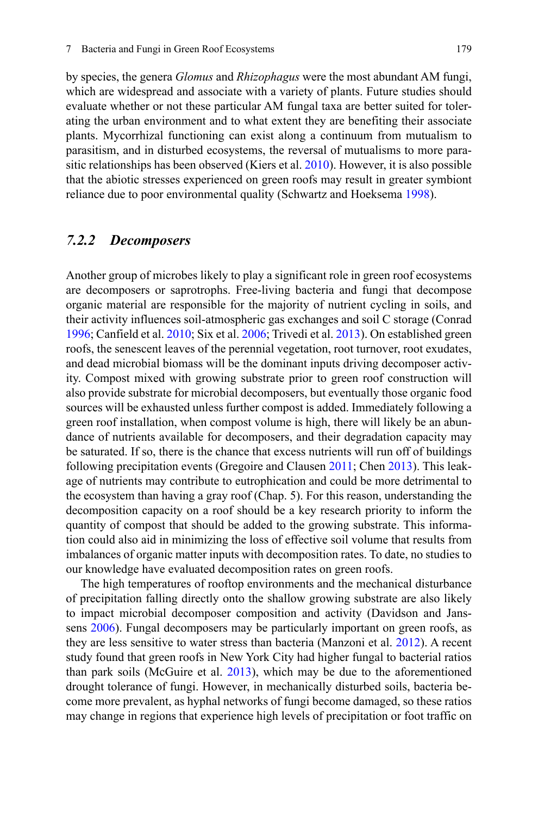by species, the genera *Glomus* and *Rhizophagus* were the most abundant AM fungi, which are widespread and associate with a variety of plants. Future studies should evaluate whether or not these particular AM fungal taxa are better suited for tolerating the urban environment and to what extent they are benefiting their associate plants. Mycorrhizal functioning can exist along a continuum from mutualism to parasitism, and in disturbed ecosystems, the reversal of mutualisms to more parasitic relationships has been observed (Kiers et al. [2010](#page-13-9)). However, it is also possible that the abiotic stresses experienced on green roofs may result in greater symbiont reliance due to poor environmental quality (Schwartz and Hoeksema [1998](#page-15-9)).

#### *7.2.2 Decomposers*

Another group of microbes likely to play a significant role in green roof ecosystems are decomposers or saprotrophs. Free-living bacteria and fungi that decompose organic material are responsible for the majority of nutrient cycling in soils, and their activity influences soil-atmospheric gas exchanges and soil C storage (Conrad [1996;](#page-12-3) Canfield et al. [2010](#page-12-4); Six et al. [2006;](#page-15-10) Trivedi et al. [2013\)](#page-15-11). On established green roofs, the senescent leaves of the perennial vegetation, root turnover, root exudates, and dead microbial biomass will be the dominant inputs driving decomposer activity. Compost mixed with growing substrate prior to green roof construction will also provide substrate for microbial decomposers, but eventually those organic food sources will be exhausted unless further compost is added. Immediately following a green roof installation, when compost volume is high, there will likely be an abundance of nutrients available for decomposers, and their degradation capacity may be saturated. If so, there is the chance that excess nutrients will run off of buildings following precipitation events (Gregoire and Clausen [2011;](#page-13-10) Chen [2013](#page-12-5)). This leakage of nutrients may contribute to eutrophication and could be more detrimental to the ecosystem than having a gray roof (Chap. 5). For this reason, understanding the decomposition capacity on a roof should be a key research priority to inform the quantity of compost that should be added to the growing substrate. This information could also aid in minimizing the loss of effective soil volume that results from imbalances of organic matter inputs with decomposition rates. To date, no studies to our knowledge have evaluated decomposition rates on green roofs.

The high temperatures of rooftop environments and the mechanical disturbance of precipitation falling directly onto the shallow growing substrate are also likely to impact microbial decomposer composition and activity (Davidson and Janssens [2006](#page-12-6)). Fungal decomposers may be particularly important on green roofs, as they are less sensitive to water stress than bacteria (Manzoni et al. [2012\)](#page-14-5). A recent study found that green roofs in New York City had higher fungal to bacterial ratios than park soils (McGuire et al. [2013\)](#page-14-2), which may be due to the aforementioned drought tolerance of fungi. However, in mechanically disturbed soils, bacteria become more prevalent, as hyphal networks of fungi become damaged, so these ratios may change in regions that experience high levels of precipitation or foot traffic on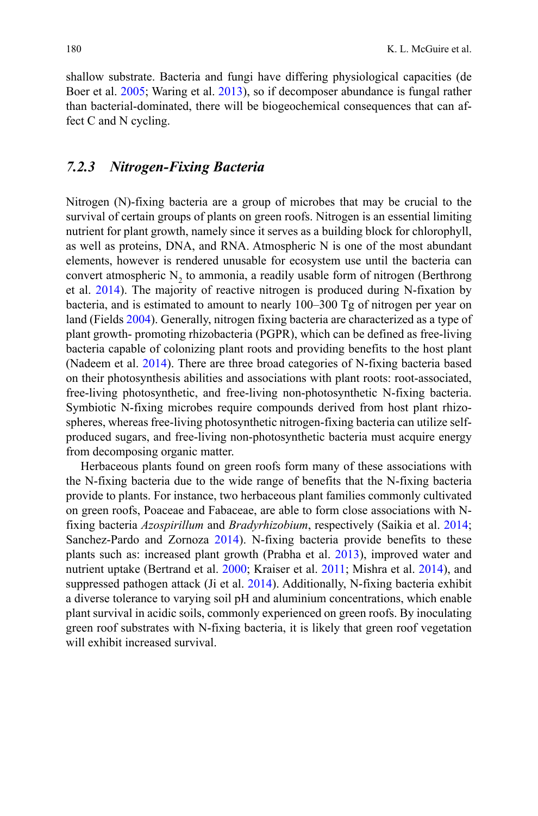shallow substrate. Bacteria and fungi have differing physiological capacities (de Boer et al. [2005;](#page-12-7) Waring et al. [2013\)](#page-15-12), so if decomposer abundance is fungal rather than bacterial-dominated, there will be biogeochemical consequences that can affect C and N cycling.

#### *7.2.3 Nitrogen-Fixing Bacteria*

Nitrogen (N)-fixing bacteria are a group of microbes that may be crucial to the survival of certain groups of plants on green roofs. Nitrogen is an essential limiting nutrient for plant growth, namely since it serves as a building block for chlorophyll, as well as proteins, DNA, and RNA. Atmospheric N is one of the most abundant elements, however is rendered unusable for ecosystem use until the bacteria can convert atmospheric  $N_2$  to ammonia, a readily usable form of nitrogen (Berthrong et al. [2014](#page-12-8)). The majority of reactive nitrogen is produced during N-fixation by bacteria, and is estimated to amount to nearly 100–300 Tg of nitrogen per year on land (Fields [2004](#page-13-11)). Generally, nitrogen fixing bacteria are characterized as a type of plant growth- promoting rhizobacteria (PGPR), which can be defined as free-living bacteria capable of colonizing plant roots and providing benefits to the host plant (Nadeem et al. [2014\)](#page-14-6). There are three broad categories of N-fixing bacteria based on their photosynthesis abilities and associations with plant roots: root-associated, free-living photosynthetic, and free-living non-photosynthetic N-fixing bacteria. Symbiotic N-fixing microbes require compounds derived from host plant rhizospheres, whereas free-living photosynthetic nitrogen-fixing bacteria can utilize selfproduced sugars, and free-living non-photosynthetic bacteria must acquire energy from decomposing organic matter.

Herbaceous plants found on green roofs form many of these associations with the N-fixing bacteria due to the wide range of benefits that the N-fixing bacteria provide to plants. For instance, two herbaceous plant families commonly cultivated on green roofs, Poaceae and Fabaceae, are able to form close associations with Nfixing bacteria *Azospirillum* and *Bradyrhizobium*, respectively (Saikia et al. [2014;](#page-14-7) Sanchez-Pardo and Zornoza [2014](#page-14-8)). N-fixing bacteria provide benefits to these plants such as: increased plant growth (Prabha et al. [2013\)](#page-14-9), improved water and nutrient uptake (Bertrand et al. [2000;](#page-12-9) Kraiser et al. [2011](#page-13-12); Mishra et al. [2014](#page-14-10)), and suppressed pathogen attack (Ji et al. [2014](#page-13-13)). Additionally, N-fixing bacteria exhibit a diverse tolerance to varying soil pH and aluminium concentrations, which enable plant survival in acidic soils, commonly experienced on green roofs. By inoculating green roof substrates with N-fixing bacteria, it is likely that green roof vegetation will exhibit increased survival.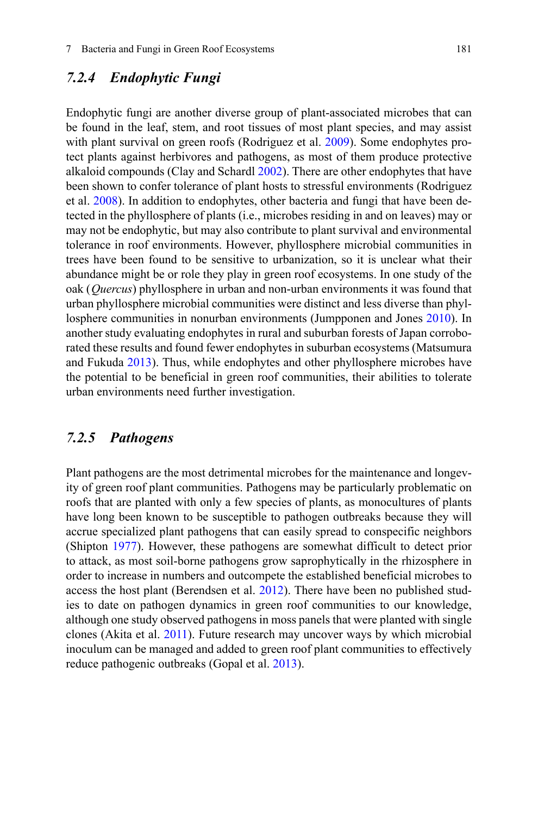## *7.2.4 Endophytic Fungi*

Endophytic fungi are another diverse group of plant-associated microbes that can be found in the leaf, stem, and root tissues of most plant species, and may assist with plant survival on green roofs (Rodriguez et al. [2009\)](#page-14-11). Some endophytes protect plants against herbivores and pathogens, as most of them produce protective alkaloid compounds (Clay and Schardl [2002\)](#page-12-10). There are other endophytes that have been shown to confer tolerance of plant hosts to stressful environments (Rodriguez et al. [2008](#page-14-12)). In addition to endophytes, other bacteria and fungi that have been detected in the phyllosphere of plants (i.e., microbes residing in and on leaves) may or may not be endophytic, but may also contribute to plant survival and environmental tolerance in roof environments. However, phyllosphere microbial communities in trees have been found to be sensitive to urbanization, so it is unclear what their abundance might be or role they play in green roof ecosystems. In one study of the oak ( *Quercus*) phyllosphere in urban and non-urban environments it was found that urban phyllosphere microbial communities were distinct and less diverse than phyllosphere communities in nonurban environments (Jumpponen and Jones [2010](#page-13-14)). In another study evaluating endophytes in rural and suburban forests of Japan corroborated these results and found fewer endophytes in suburban ecosystems (Matsumura and Fukuda [2013](#page-14-13)). Thus, while endophytes and other phyllosphere microbes have the potential to be beneficial in green roof communities, their abilities to tolerate urban environments need further investigation.

## *7.2.5 Pathogens*

Plant pathogens are the most detrimental microbes for the maintenance and longevity of green roof plant communities. Pathogens may be particularly problematic on roofs that are planted with only a few species of plants, as monocultures of plants have long been known to be susceptible to pathogen outbreaks because they will accrue specialized plant pathogens that can easily spread to conspecific neighbors (Shipton [1977\)](#page-15-13). However, these pathogens are somewhat difficult to detect prior to attack, as most soil-borne pathogens grow saprophytically in the rhizosphere in order to increase in numbers and outcompete the established beneficial microbes to access the host plant (Berendsen et al. [2012\)](#page-12-11). There have been no published studies to date on pathogen dynamics in green roof communities to our knowledge, although one study observed pathogens in moss panels that were planted with single clones (Akita et al. [2011\)](#page-11-1). Future research may uncover ways by which microbial inoculum can be managed and added to green roof plant communities to effectively reduce pathogenic outbreaks (Gopal et al. [2013\)](#page-13-15).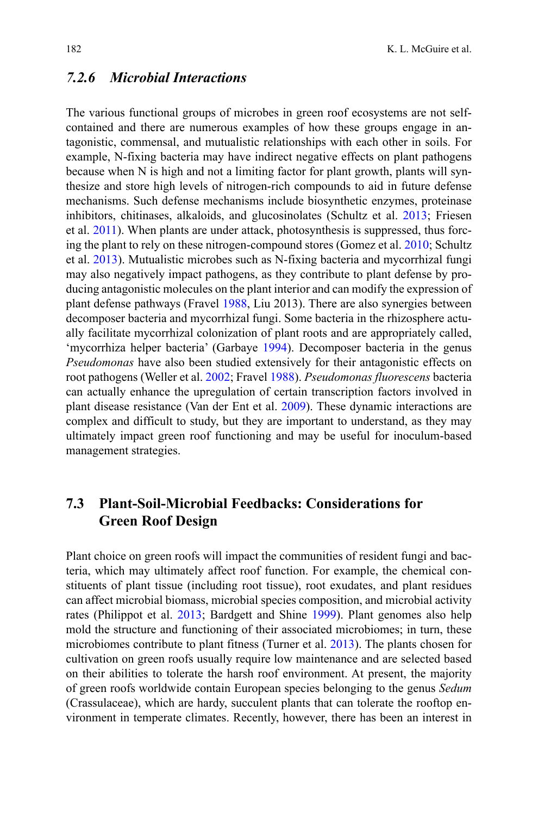#### *7.2.6 Microbial Interactions*

The various functional groups of microbes in green roof ecosystems are not selfcontained and there are numerous examples of how these groups engage in antagonistic, commensal, and mutualistic relationships with each other in soils. For example, N-fixing bacteria may have indirect negative effects on plant pathogens because when N is high and not a limiting factor for plant growth, plants will synthesize and store high levels of nitrogen-rich compounds to aid in future defense mechanisms. Such defense mechanisms include biosynthetic enzymes, proteinase inhibitors, chitinases, alkaloids, and glucosinolates (Schultz et al. [2013](#page-14-14); Friesen et al. [2011\)](#page-13-3). When plants are under attack, photosynthesis is suppressed, thus forcing the plant to rely on these nitrogen-compound stores (Gomez et al. [2010;](#page-13-16) Schultz et al. [2013](#page-14-14)). Mutualistic microbes such as N-fixing bacteria and mycorrhizal fungi may also negatively impact pathogens, as they contribute to plant defense by producing antagonistic molecules on the plant interior and can modify the expression of plant defense pathways (Fravel [1988,](#page-13-17) Liu 2013). There are also synergies between decomposer bacteria and mycorrhizal fungi. Some bacteria in the rhizosphere actually facilitate mycorrhizal colonization of plant roots and are appropriately called, 'mycorrhiza helper bacteria' (Garbaye [1994\)](#page-13-18). Decomposer bacteria in the genus *Pseudomonas* have also been studied extensively for their antagonistic effects on root pathogens (Weller et al. [2002](#page-15-14); Fravel [1988\)](#page-13-17). *Pseudomonas fluorescens* bacteria can actually enhance the upregulation of certain transcription factors involved in plant disease resistance (Van der Ent et al. [2009\)](#page-15-15). These dynamic interactions are complex and difficult to study, but they are important to understand, as they may ultimately impact green roof functioning and may be useful for inoculum-based management strategies.

# **7.3 Plant-Soil-Microbial Feedbacks: Considerations for Green Roof Design**

Plant choice on green roofs will impact the communities of resident fungi and bacteria, which may ultimately affect roof function. For example, the chemical constituents of plant tissue (including root tissue), root exudates, and plant residues can affect microbial biomass, microbial species composition, and microbial activity rates (Philippot et al. [2013](#page-14-15); Bardgett and Shine [1999\)](#page-11-2). Plant genomes also help mold the structure and functioning of their associated microbiomes; in turn, these microbiomes contribute to plant fitness (Turner et al. [2013\)](#page-15-16). The plants chosen for cultivation on green roofs usually require low maintenance and are selected based on their abilities to tolerate the harsh roof environment. At present, the majority of green roofs worldwide contain European species belonging to the genus *Sedum* (Crassulaceae), which are hardy, succulent plants that can tolerate the rooftop environment in temperate climates. Recently, however, there has been an interest in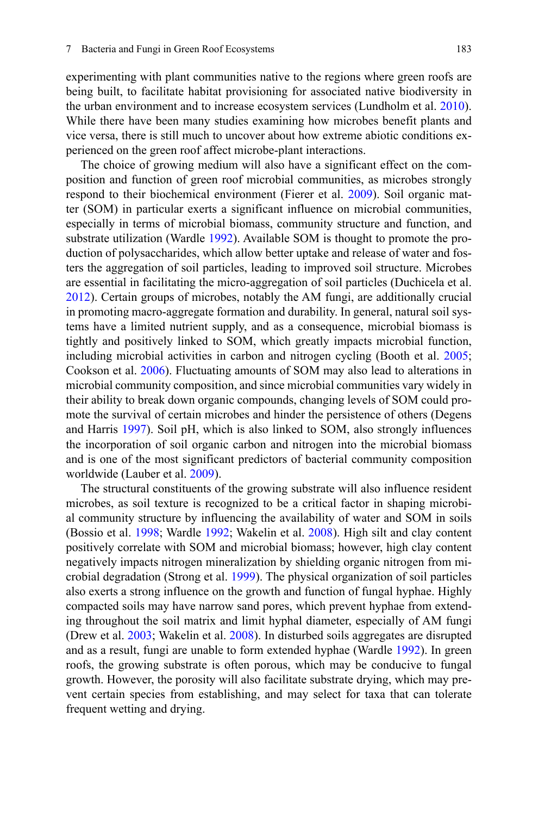experimenting with plant communities native to the regions where green roofs are being built, to facilitate habitat provisioning for associated native biodiversity in the urban environment and to increase ecosystem services (Lundholm et al. [2010\)](#page-14-16). While there have been many studies examining how microbes benefit plants and vice versa, there is still much to uncover about how extreme abiotic conditions experienced on the green roof affect microbe-plant interactions.

The choice of growing medium will also have a significant effect on the composition and function of green roof microbial communities, as microbes strongly respond to their biochemical environment (Fierer et al. [2009](#page-13-19)). Soil organic matter (SOM) in particular exerts a significant influence on microbial communities, especially in terms of microbial biomass, community structure and function, and substrate utilization (Wardle [1992](#page-15-17)). Available SOM is thought to promote the production of polysaccharides, which allow better uptake and release of water and fosters the aggregation of soil particles, leading to improved soil structure. Microbes are essential in facilitating the micro-aggregation of soil particles (Duchicela et al. [2012\)](#page-12-12). Certain groups of microbes, notably the AM fungi, are additionally crucial in promoting macro-aggregate formation and durability. In general, natural soil systems have a limited nutrient supply, and as a consequence, microbial biomass is tightly and positively linked to SOM, which greatly impacts microbial function, including microbial activities in carbon and nitrogen cycling (Booth et al. [2005;](#page-12-13) Cookson et al. [2006\)](#page-12-14). Fluctuating amounts of SOM may also lead to alterations in microbial community composition, and since microbial communities vary widely in their ability to break down organic compounds, changing levels of SOM could promote the survival of certain microbes and hinder the persistence of others (Degens and Harris [1997\)](#page-12-15). Soil pH, which is also linked to SOM, also strongly influences the incorporation of soil organic carbon and nitrogen into the microbial biomass and is one of the most significant predictors of bacterial community composition worldwide (Lauber et al. [2009](#page-13-20)).

The structural constituents of the growing substrate will also influence resident microbes, as soil texture is recognized to be a critical factor in shaping microbial community structure by influencing the availability of water and SOM in soils (Bossio et al. [1998](#page-12-16); Wardle [1992](#page-15-17); Wakelin et al. [2008](#page-15-18)). High silt and clay content positively correlate with SOM and microbial biomass; however, high clay content negatively impacts nitrogen mineralization by shielding organic nitrogen from microbial degradation (Strong et al. [1999\)](#page-15-19). The physical organization of soil particles also exerts a strong influence on the growth and function of fungal hyphae. Highly compacted soils may have narrow sand pores, which prevent hyphae from extending throughout the soil matrix and limit hyphal diameter, especially of AM fungi (Drew et al. [2003](#page-12-17); Wakelin et al. [2008\)](#page-15-18). In disturbed soils aggregates are disrupted and as a result, fungi are unable to form extended hyphae (Wardle [1992\)](#page-15-17). In green roofs, the growing substrate is often porous, which may be conducive to fungal growth. However, the porosity will also facilitate substrate drying, which may prevent certain species from establishing, and may select for taxa that can tolerate frequent wetting and drying.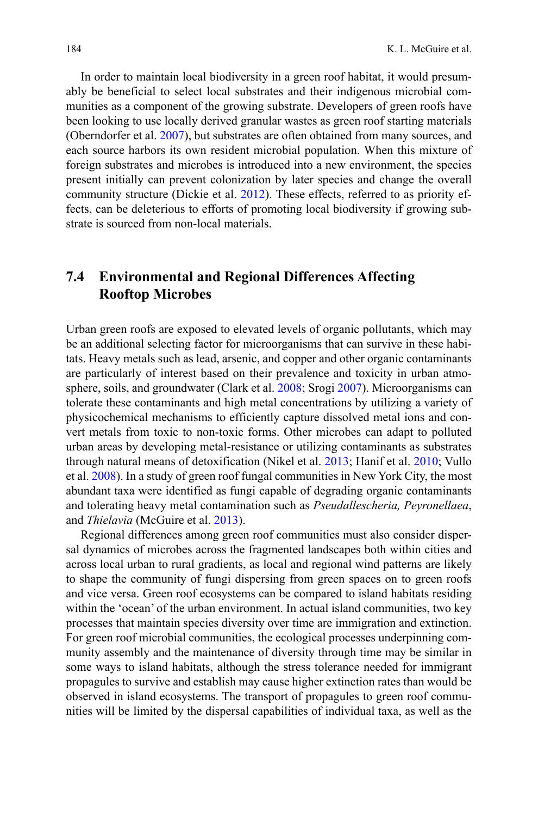In order to maintain local biodiversity in a green roof habitat, it would presumably be beneficial to select local substrates and their indigenous microbial communities as a component of the growing substrate. Developers of green roofs have been looking to use locally derived granular wastes as green roof starting materials (Oberndorfer et al. [2007\)](#page-14-17), but substrates are often obtained from many sources, and each source harbors its own resident microbial population. When this mixture of foreign substrates and microbes is introduced into a new environment, the species present initially can prevent colonization by later species and change the overall community structure (Dickie et al. [2012\)](#page-12-18). These effects, referred to as priority effects, can be deleterious to efforts of promoting local biodiversity if growing substrate is sourced from non-local materials.

# **7.4 Environmental and Regional Differences Affecting Rooftop Microbes**

Urban green roofs are exposed to elevated levels of organic pollutants, which may be an additional selecting factor for microorganisms that can survive in these habitats. Heavy metals such as lead, arsenic, and copper and other organic contaminants are particularly of interest based on their prevalence and toxicity in urban atmosphere, soils, and groundwater (Clark et al. [2008;](#page-12-19) Srogi [2007\)](#page-15-20). Microorganisms can tolerate these contaminants and high metal concentrations by utilizing a variety of physicochemical mechanisms to efficiently capture dissolved metal ions and convert metals from toxic to non-toxic forms. Other microbes can adapt to polluted urban areas by developing metal-resistance or utilizing contaminants as substrates through natural means of detoxification (Nikel et al. [2013](#page-14-18); Hanif et al. [2010](#page-13-21); Vullo et al. [2008\)](#page-15-21). In a study of green roof fungal communities in New York City, the most abundant taxa were identified as fungi capable of degrading organic contaminants and tolerating heavy metal contamination such as *Pseudallescheria, Peyronellaea*, and *Thielavia* (McGuire et al. [2013\)](#page-14-2).

Regional differences among green roof communities must also consider dispersal dynamics of microbes across the fragmented landscapes both within cities and across local urban to rural gradients, as local and regional wind patterns are likely to shape the community of fungi dispersing from green spaces on to green roofs and vice versa. Green roof ecosystems can be compared to island habitats residing within the 'ocean' of the urban environment. In actual island communities, two key processes that maintain species diversity over time are immigration and extinction. For green roof microbial communities, the ecological processes underpinning community assembly and the maintenance of diversity through time may be similar in some ways to island habitats, although the stress tolerance needed for immigrant propagules to survive and establish may cause higher extinction rates than would be observed in island ecosystems. The transport of propagules to green roof communities will be limited by the dispersal capabilities of individual taxa, as well as the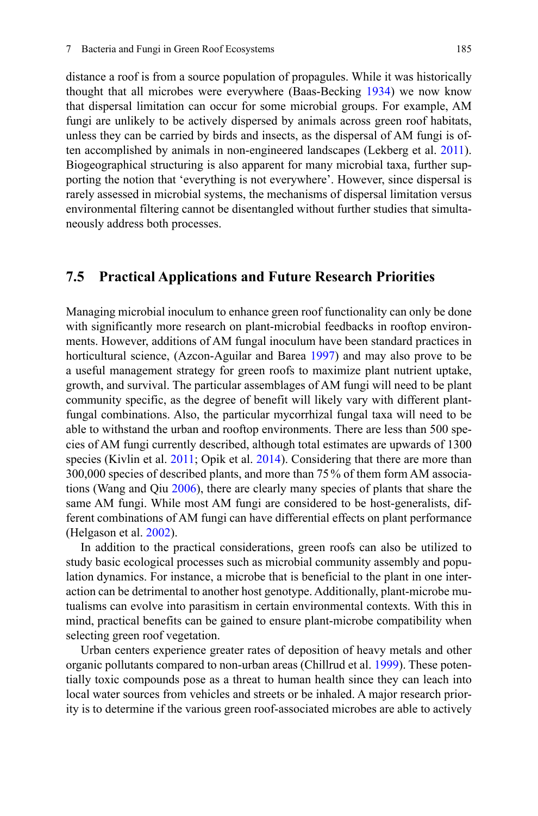distance a roof is from a source population of propagules. While it was historically thought that all microbes were everywhere (Baas-Becking [1934](#page-11-3)) we now know that dispersal limitation can occur for some microbial groups. For example, AM fungi are unlikely to be actively dispersed by animals across green roof habitats, unless they can be carried by birds and insects, as the dispersal of AM fungi is often accomplished by animals in non-engineered landscapes (Lekberg et al. [2011\)](#page-14-19). Biogeographical structuring is also apparent for many microbial taxa, further supporting the notion that 'everything is not everywhere'. However, since dispersal is rarely assessed in microbial systems, the mechanisms of dispersal limitation versus environmental filtering cannot be disentangled without further studies that simultaneously address both processes.

#### **7.5 Practical Applications and Future Research Priorities**

Managing microbial inoculum to enhance green roof functionality can only be done with significantly more research on plant-microbial feedbacks in rooftop environments. However, additions of AM fungal inoculum have been standard practices in horticultural science, (Azcon-Aguilar and Barea [1997\)](#page-11-4) and may also prove to be a useful management strategy for green roofs to maximize plant nutrient uptake, growth, and survival. The particular assemblages of AM fungi will need to be plant community specific, as the degree of benefit will likely vary with different plantfungal combinations. Also, the particular mycorrhizal fungal taxa will need to be able to withstand the urban and rooftop environments. There are less than 500 species of AM fungi currently described, although total estimates are upwards of 1300 species (Kivlin et al. [2011](#page-13-22); Opik et al. [2014\)](#page-14-20). Considering that there are more than 300,000 species of described plants, and more than 75% of them form AM associations (Wang and Qiu [2006](#page-15-8)), there are clearly many species of plants that share the same AM fungi. While most AM fungi are considered to be host-generalists, different combinations of AM fungi can have differential effects on plant performance (Helgason et al. [2002](#page-13-23)).

In addition to the practical considerations, green roofs can also be utilized to study basic ecological processes such as microbial community assembly and population dynamics. For instance, a microbe that is beneficial to the plant in one interaction can be detrimental to another host genotype. Additionally, plant-microbe mutualisms can evolve into parasitism in certain environmental contexts. With this in mind, practical benefits can be gained to ensure plant-microbe compatibility when selecting green roof vegetation.

Urban centers experience greater rates of deposition of heavy metals and other organic pollutants compared to non-urban areas (Chillrud et al. [1999\)](#page-12-20). These potentially toxic compounds pose as a threat to human health since they can leach into local water sources from vehicles and streets or be inhaled. A major research priority is to determine if the various green roof-associated microbes are able to actively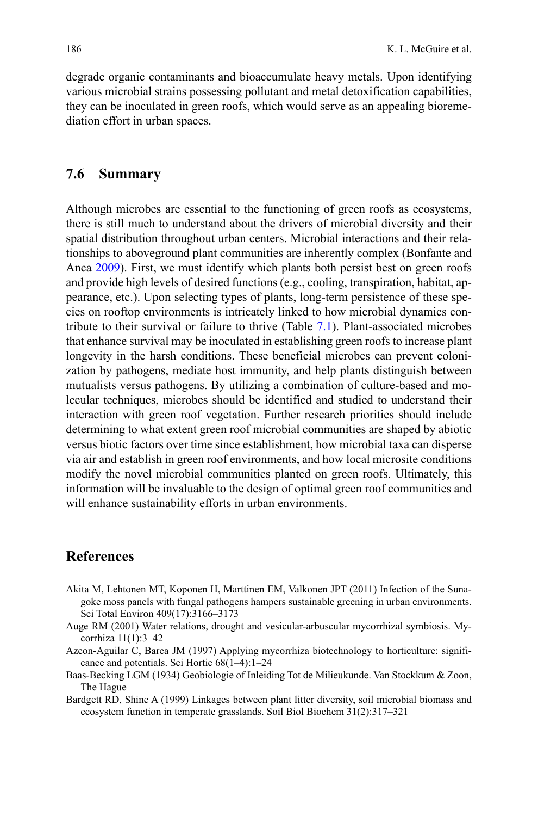degrade organic contaminants and bioaccumulate heavy metals. Upon identifying various microbial strains possessing pollutant and metal detoxification capabilities, they can be inoculated in green roofs, which would serve as an appealing bioremediation effort in urban spaces.

## **7.6 Summary**

Although microbes are essential to the functioning of green roofs as ecosystems, there is still much to understand about the drivers of microbial diversity and their spatial distribution throughout urban centers. Microbial interactions and their relationships to aboveground plant communities are inherently complex (Bonfante and Anca [2009](#page-12-21)). First, we must identify which plants both persist best on green roofs and provide high levels of desired functions (e.g., cooling, transpiration, habitat, appearance, etc.). Upon selecting types of plants, long-term persistence of these species on rooftop environments is intricately linked to how microbial dynamics contribute to their survival or failure to thrive (Table [7.1](#page-2-0)). Plant-associated microbes that enhance survival may be inoculated in establishing green roofs to increase plant longevity in the harsh conditions. These beneficial microbes can prevent colonization by pathogens, mediate host immunity, and help plants distinguish between mutualists versus pathogens. By utilizing a combination of culture-based and molecular techniques, microbes should be identified and studied to understand their interaction with green roof vegetation. Further research priorities should include determining to what extent green roof microbial communities are shaped by abiotic versus biotic factors over time since establishment, how microbial taxa can disperse via air and establish in green roof environments, and how local microsite conditions modify the novel microbial communities planted on green roofs. Ultimately, this information will be invaluable to the design of optimal green roof communities and will enhance sustainability efforts in urban environments.

#### **References**

- <span id="page-11-1"></span>Akita M, Lehtonen MT, Koponen H, Marttinen EM, Valkonen JPT (2011) Infection of the Sunagoke moss panels with fungal pathogens hampers sustainable greening in urban environments. Sci Total Environ 409(17):3166–3173
- <span id="page-11-0"></span>Auge RM (2001) Water relations, drought and vesicular-arbuscular mycorrhizal symbiosis. Mycorrhiza 11(1):3–42
- <span id="page-11-4"></span>Azcon-Aguilar C, Barea JM (1997) Applying mycorrhiza biotechnology to horticulture: significance and potentials. Sci Hortic 68(1–4):1–24
- <span id="page-11-3"></span>Baas-Becking LGM (1934) Geobiologie of Inleiding Tot de Milieukunde. Van Stockkum & Zoon, The Hague
- <span id="page-11-2"></span>Bardgett RD, Shine A (1999) Linkages between plant litter diversity, soil microbial biomass and ecosystem function in temperate grasslands. Soil Biol Biochem 31(2):317–321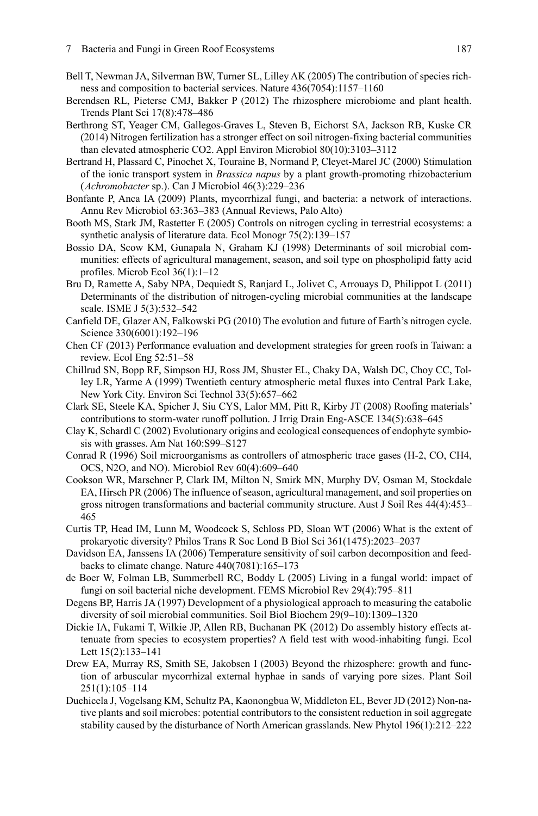- <span id="page-12-2"></span>Bell T, Newman JA, Silverman BW, Turner SL, Lilley AK (2005) The contribution of species richness and composition to bacterial services. Nature 436(7054):1157–1160
- <span id="page-12-11"></span>Berendsen RL, Pieterse CMJ, Bakker P (2012) The rhizosphere microbiome and plant health. Trends Plant Sci 17(8):478–486
- <span id="page-12-8"></span>Berthrong ST, Yeager CM, Gallegos-Graves L, Steven B, Eichorst SA, Jackson RB, Kuske CR (2014) Nitrogen fertilization has a stronger effect on soil nitrogen-fixing bacterial communities than elevated atmospheric CO2. Appl Environ Microbiol 80(10):3103–3112
- <span id="page-12-9"></span>Bertrand H, Plassard C, Pinochet X, Touraine B, Normand P, Cleyet-Marel JC (2000) Stimulation of the ionic transport system in *Brassica napus* by a plant growth-promoting rhizobacterium ( *Achromobacter* sp.). Can J Microbiol 46(3):229–236
- <span id="page-12-21"></span>Bonfante P, Anca IA (2009) Plants, mycorrhizal fungi, and bacteria: a network of interactions. Annu Rev Microbiol 63:363–383 (Annual Reviews, Palo Alto)
- <span id="page-12-13"></span>Booth MS, Stark JM, Rastetter E (2005) Controls on nitrogen cycling in terrestrial ecosystems: a synthetic analysis of literature data. Ecol Monogr 75(2):139–157
- <span id="page-12-16"></span>Bossio DA, Scow KM, Gunapala N, Graham KJ (1998) Determinants of soil microbial communities: effects of agricultural management, season, and soil type on phospholipid fatty acid profiles. Microb Ecol 36(1):1–12
- <span id="page-12-1"></span>Bru D, Ramette A, Saby NPA, Dequiedt S, Ranjard L, Jolivet C, Arrouays D, Philippot L (2011) Determinants of the distribution of nitrogen-cycling microbial communities at the landscape scale. ISME J 5(3):532–542
- <span id="page-12-4"></span>Canfield DE, Glazer AN, Falkowski PG (2010) The evolution and future of Earth's nitrogen cycle. Science 330(6001):192–196
- <span id="page-12-5"></span>Chen CF (2013) Performance evaluation and development strategies for green roofs in Taiwan: a review. Ecol Eng 52:51–58
- <span id="page-12-20"></span>Chillrud SN, Bopp RF, Simpson HJ, Ross JM, Shuster EL, Chaky DA, Walsh DC, Choy CC, Tolley LR, Yarme A (1999) Twentieth century atmospheric metal fluxes into Central Park Lake, New York City. Environ Sci Technol 33(5):657–662
- <span id="page-12-19"></span>Clark SE, Steele KA, Spicher J, Siu CYS, Lalor MM, Pitt R, Kirby JT (2008) Roofing materials' contributions to storm-water runoff pollution. J Irrig Drain Eng-ASCE 134(5):638–645
- <span id="page-12-10"></span>Clay K, Schardl C (2002) Evolutionary origins and ecological consequences of endophyte symbiosis with grasses. Am Nat 160:S99–S127
- <span id="page-12-3"></span>Conrad R (1996) Soil microorganisms as controllers of atmospheric trace gases (H-2, CO, CH4, OCS, N2O, and NO). Microbiol Rev 60(4):609–640
- <span id="page-12-14"></span>Cookson WR, Marschner P, Clark IM, Milton N, Smirk MN, Murphy DV, Osman M, Stockdale EA, Hirsch PR (2006) The influence of season, agricultural management, and soil properties on gross nitrogen transformations and bacterial community structure. Aust J Soil Res 44(4):453– 465
- <span id="page-12-0"></span>Curtis TP, Head IM, Lunn M, Woodcock S, Schloss PD, Sloan WT (2006) What is the extent of prokaryotic diversity? Philos Trans R Soc Lond B Biol Sci 361(1475):2023–2037
- <span id="page-12-6"></span>Davidson EA, Janssens IA (2006) Temperature sensitivity of soil carbon decomposition and feedbacks to climate change. Nature 440(7081):165–173
- <span id="page-12-7"></span>de Boer W, Folman LB, Summerbell RC, Boddy L (2005) Living in a fungal world: impact of fungi on soil bacterial niche development. FEMS Microbiol Rev 29(4):795–811
- <span id="page-12-15"></span>Degens BP, Harris JA (1997) Development of a physiological approach to measuring the catabolic diversity of soil microbial communities. Soil Biol Biochem 29(9–10):1309–1320
- <span id="page-12-18"></span>Dickie IA, Fukami T, Wilkie JP, Allen RB, Buchanan PK (2012) Do assembly history effects attenuate from species to ecosystem properties? A field test with wood-inhabiting fungi. Ecol Lett 15(2):133–141
- <span id="page-12-17"></span>Drew EA, Murray RS, Smith SE, Jakobsen I (2003) Beyond the rhizosphere: growth and function of arbuscular mycorrhizal external hyphae in sands of varying pore sizes. Plant Soil 251(1):105–114
- <span id="page-12-12"></span>Duchicela J, Vogelsang KM, Schultz PA, Kaonongbua W, Middleton EL, Bever JD (2012) Non-native plants and soil microbes: potential contributors to the consistent reduction in soil aggregate stability caused by the disturbance of North American grasslands. New Phytol 196(1):212–222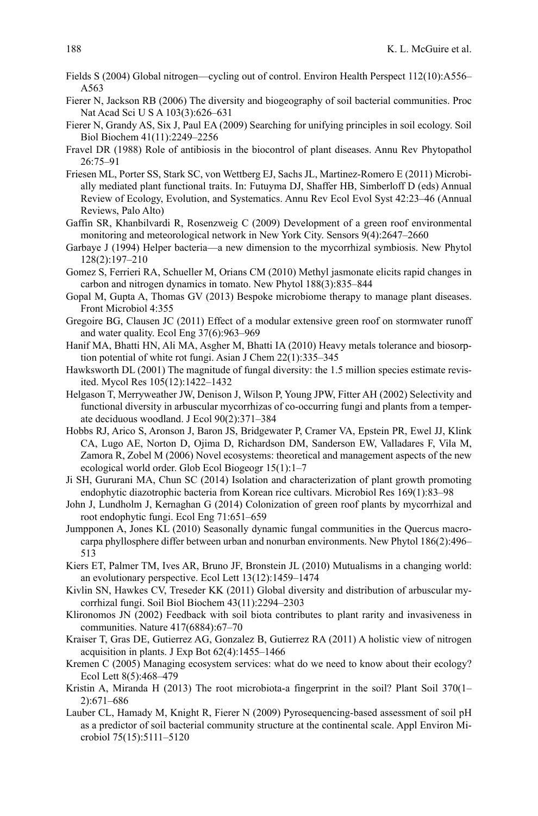- <span id="page-13-11"></span>Fields S (2004) Global nitrogen—cycling out of control. Environ Health Perspect 112(10):A556– A563
- <span id="page-13-5"></span>Fierer N, Jackson RB (2006) The diversity and biogeography of soil bacterial communities. Proc Nat Acad Sci U S A 103(3):626–631
- <span id="page-13-19"></span>Fierer N, Grandy AS, Six J, Paul EA (2009) Searching for unifying principles in soil ecology. Soil Biol Biochem 41(11):2249–2256
- <span id="page-13-17"></span>Fravel DR (1988) Role of antibiosis in the biocontrol of plant diseases. Annu Rev Phytopathol 26:75–91
- <span id="page-13-3"></span>Friesen ML, Porter SS, Stark SC, von Wettberg EJ, Sachs JL, Martinez-Romero E (2011) Microbially mediated plant functional traits. In: Futuyma DJ, Shaffer HB, Simberloff D (eds) Annual Review of Ecology, Evolution, and Systematics. Annu Rev Ecol Evol Syst 42:23–46 (Annual Reviews, Palo Alto)
- <span id="page-13-0"></span>Gaffin SR, Khanbilvardi R, Rosenzweig C (2009) Development of a green roof environmental monitoring and meteorological network in New York City. Sensors 9(4):2647–2660
- <span id="page-13-18"></span>Garbaye J (1994) Helper bacteria—a new dimension to the mycorrhizal symbiosis. New Phytol 128(2):197–210
- <span id="page-13-16"></span>Gomez S, Ferrieri RA, Schueller M, Orians CM (2010) Methyl jasmonate elicits rapid changes in carbon and nitrogen dynamics in tomato. New Phytol 188(3):835–844
- <span id="page-13-15"></span>Gopal M, Gupta A, Thomas GV (2013) Bespoke microbiome therapy to manage plant diseases. Front Microbiol 4:355
- <span id="page-13-10"></span>Gregoire BG, Clausen JC (2011) Effect of a modular extensive green roof on stormwater runoff and water quality. Ecol Eng 37(6):963–969
- <span id="page-13-21"></span>Hanif MA, Bhatti HN, Ali MA, Asgher M, Bhatti IA (2010) Heavy metals tolerance and biosorption potential of white rot fungi. Asian J Chem 22(1):335–345
- <span id="page-13-4"></span>Hawksworth DL (2001) The magnitude of fungal diversity: the 1.5 million species estimate revisited. Mycol Res 105(12):1422–1432
- <span id="page-13-23"></span>Helgason T, Merryweather JW, Denison J, Wilson P, Young JPW, Fitter AH (2002) Selectivity and functional diversity in arbuscular mycorrhizas of co-occurring fungi and plants from a temperate deciduous woodland. J Ecol 90(2):371–384
- <span id="page-13-7"></span>Hobbs RJ, Arico S, Aronson J, Baron JS, Bridgewater P, Cramer VA, Epstein PR, Ewel JJ, Klink CA, Lugo AE, Norton D, Ojima D, Richardson DM, Sanderson EW, Valladares F, Vila M, Zamora R, Zobel M (2006) Novel ecosystems: theoretical and management aspects of the new ecological world order. Glob Ecol Biogeogr 15(1):1–7
- <span id="page-13-13"></span>Ji SH, Gururani MA, Chun SC (2014) Isolation and characterization of plant growth promoting endophytic diazotrophic bacteria from Korean rice cultivars. Microbiol Res 169(1):83–98
- <span id="page-13-8"></span>John J, Lundholm J, Kernaghan G (2014) Colonization of green roof plants by mycorrhizal and root endophytic fungi. Ecol Eng 71:651–659
- <span id="page-13-14"></span>Jumpponen A, Jones KL (2010) Seasonally dynamic fungal communities in the Quercus macrocarpa phyllosphere differ between urban and nonurban environments. New Phytol 186(2):496– 513
- <span id="page-13-9"></span>Kiers ET, Palmer TM, Ives AR, Bruno JF, Bronstein JL (2010) Mutualisms in a changing world: an evolutionary perspective. Ecol Lett 13(12):1459–1474
- <span id="page-13-22"></span>Kivlin SN, Hawkes CV, Treseder KK (2011) Global diversity and distribution of arbuscular mycorrhizal fungi. Soil Biol Biochem 43(11):2294–2303
- <span id="page-13-6"></span>Klironomos JN (2002) Feedback with soil biota contributes to plant rarity and invasiveness in communities. Nature 417(6884):67–70
- <span id="page-13-12"></span>Kraiser T, Gras DE, Gutierrez AG, Gonzalez B, Gutierrez RA (2011) A holistic view of nitrogen acquisition in plants. J Exp Bot 62(4):1455–1466
- <span id="page-13-1"></span>Kremen C (2005) Managing ecosystem services: what do we need to know about their ecology? Ecol Lett 8(5):468–479
- <span id="page-13-2"></span>Kristin A, Miranda H (2013) The root microbiota-a fingerprint in the soil? Plant Soil 370(1– 2):671–686
- <span id="page-13-20"></span>Lauber CL, Hamady M, Knight R, Fierer N (2009) Pyrosequencing-based assessment of soil pH as a predictor of soil bacterial community structure at the continental scale. Appl Environ Microbiol 75(15):5111–5120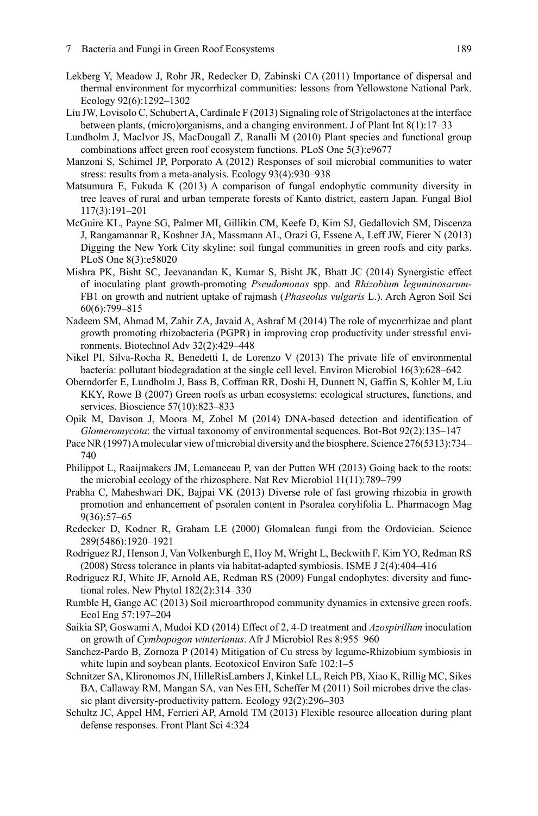- <span id="page-14-19"></span>Lekberg Y, Meadow J, Rohr JR, Redecker D, Zabinski CA (2011) Importance of dispersal and thermal environment for mycorrhizal communities: lessons from Yellowstone National Park. Ecology 92(6):1292–1302
- Liu JW, Lovisolo C, Schubert A, Cardinale F (2013) Signaling role of Strigolactones at the interface between plants, (micro)organisms, and a changing environment. J of Plant Int 8(1):17–33
- <span id="page-14-16"></span>Lundholm J, MacIvor JS, MacDougall Z, Ranalli M (2010) Plant species and functional group combinations affect green roof ecosystem functions. PLoS One 5(3):e9677
- <span id="page-14-5"></span>Manzoni S, Schimel JP, Porporato A (2012) Responses of soil microbial communities to water stress: results from a meta-analysis. Ecology 93(4):930–938
- <span id="page-14-13"></span>Matsumura E, Fukuda K (2013) A comparison of fungal endophytic community diversity in tree leaves of rural and urban temperate forests of Kanto district, eastern Japan. Fungal Biol 117(3):191–201
- <span id="page-14-2"></span>McGuire KL, Payne SG, Palmer MI, Gillikin CM, Keefe D, Kim SJ, Gedallovich SM, Discenza J, Rangamannar R, Koshner JA, Massmann AL, Orazi G, Essene A, Leff JW, Fierer N (2013) Digging the New York City skyline: soil fungal communities in green roofs and city parks. PLoS One 8(3):e58020
- <span id="page-14-10"></span>Mishra PK, Bisht SC, Jeevanandan K, Kumar S, Bisht JK, Bhatt JC (2014) Synergistic effect of inoculating plant growth-promoting *Pseudomonas* spp. and *Rhizobium leguminosarum*-FB1 on growth and nutrient uptake of rajmash ( *Phaseolus vulgaris* L.). Arch Agron Soil Sci 60(6):799–815
- <span id="page-14-6"></span>Nadeem SM, Ahmad M, Zahir ZA, Javaid A, Ashraf M (2014) The role of mycorrhizae and plant growth promoting rhizobacteria (PGPR) in improving crop productivity under stressful environments. Biotechnol Adv 32(2):429–448
- <span id="page-14-18"></span>Nikel PI, Silva-Rocha R, Benedetti I, de Lorenzo V (2013) The private life of environmental bacteria: pollutant biodegradation at the single cell level. Environ Microbiol 16(3):628–642
- <span id="page-14-17"></span>Oberndorfer E, Lundholm J, Bass B, Coffman RR, Doshi H, Dunnett N, Gaffin S, Kohler M, Liu KKY, Rowe B (2007) Green roofs as urban ecosystems: ecological structures, functions, and services. Bioscience 57(10):823–833
- <span id="page-14-20"></span>Opik M, Davison J, Moora M, Zobel M (2014) DNA-based detection and identification of *Glomeromycota*: the virtual taxonomy of environmental sequences. Bot-Bot 92(2):135–147
- <span id="page-14-0"></span>Pace NR (1997) A molecular view of microbial diversity and the biosphere. Science 276(5313):734– 740
- <span id="page-14-15"></span>Philippot L, Raaijmakers JM, Lemanceau P, van der Putten WH (2013) Going back to the roots: the microbial ecology of the rhizosphere. Nat Rev Microbiol 11(11):789–799
- <span id="page-14-9"></span>Prabha C, Maheshwari DK, Bajpai VK (2013) Diverse role of fast growing rhizobia in growth promotion and enhancement of psoralen content in Psoralea corylifolia L. Pharmacogn Mag 9(36):57–65
- <span id="page-14-3"></span>Redecker D, Kodner R, Graham LE (2000) Glomalean fungi from the Ordovician. Science 289(5486):1920–1921
- <span id="page-14-12"></span>Rodriguez RJ, Henson J, Van Volkenburgh E, Hoy M, Wright L, Beckwith F, Kim YO, Redman RS (2008) Stress tolerance in plants via habitat-adapted symbiosis. ISME J 2(4):404–416
- <span id="page-14-11"></span>Rodriguez RJ, White JF, Arnold AE, Redman RS (2009) Fungal endophytes: diversity and functional roles. New Phytol 182(2):314–330
- <span id="page-14-4"></span>Rumble H, Gange AC (2013) Soil microarthropod community dynamics in extensive green roofs. Ecol Eng 57:197–204
- <span id="page-14-7"></span>Saikia SP, Goswami A, Mudoi KD (2014) Effect of 2, 4-D treatment and *Azospirillum* inoculation on growth of *Cymbopogon winterianus*. Afr J Microbiol Res 8:955–960
- <span id="page-14-8"></span>Sanchez-Pardo B, Zornoza P (2014) Mitigation of Cu stress by legume-Rhizobium symbiosis in white lupin and soybean plants. Ecotoxicol Environ Safe 102:1–5
- <span id="page-14-1"></span>Schnitzer SA, Klironomos JN, HilleRisLambers J, Kinkel LL, Reich PB, Xiao K, Rillig MC, Sikes BA, Callaway RM, Mangan SA, van Nes EH, Scheffer M (2011) Soil microbes drive the classic plant diversity-productivity pattern. Ecology 92(2):296–303
- <span id="page-14-14"></span>Schultz JC, Appel HM, Ferrieri AP, Arnold TM (2013) Flexible resource allocation during plant defense responses. Front Plant Sci 4:324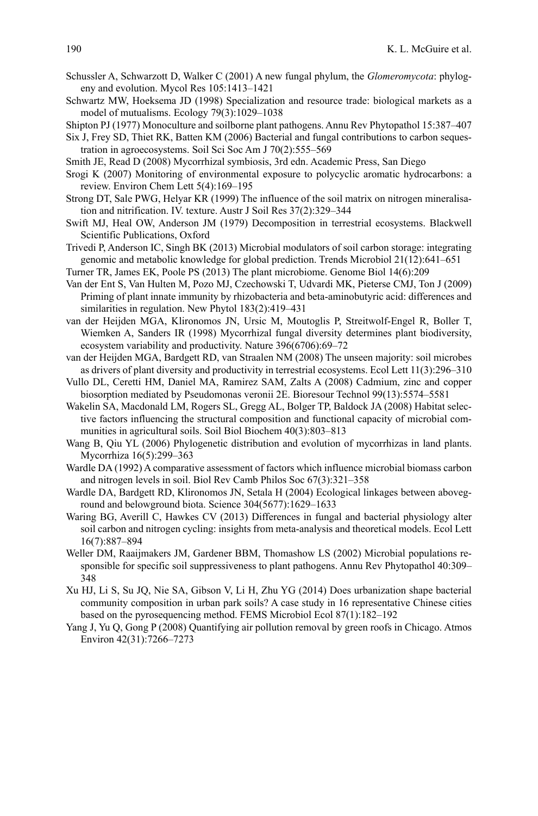- <span id="page-15-7"></span>Schussler A, Schwarzott D, Walker C (2001) A new fungal phylum, the *Glomeromycota*: phylogeny and evolution. Mycol Res 105:1413–1421
- <span id="page-15-9"></span>Schwartz MW, Hoeksema JD (1998) Specialization and resource trade: biological markets as a model of mutualisms. Ecology 79(3):1029–1038
- <span id="page-15-13"></span>Shipton PJ (1977) Monoculture and soilborne plant pathogens. Annu Rev Phytopathol 15:387–407
- <span id="page-15-10"></span>Six J, Frey SD, Thiet RK, Batten KM (2006) Bacterial and fungal contributions to carbon sequestration in agroecosystems. Soil Sci Soc Am J 70(2):555–569
- <span id="page-15-6"></span>Smith JE, Read D (2008) Mycorrhizal symbiosis, 3rd edn. Academic Press, San Diego
- <span id="page-15-20"></span>Srogi K (2007) Monitoring of environmental exposure to polycyclic aromatic hydrocarbons: a review. Environ Chem Lett 5(4):169–195
- <span id="page-15-19"></span>Strong DT, Sale PWG, Helyar KR (1999) The influence of the soil matrix on nitrogen mineralisation and nitrification. IV. texture. Austr J Soil Res 37(2):329–344
- <span id="page-15-1"></span>Swift MJ, Heal OW, Anderson JM (1979) Decomposition in terrestrial ecosystems. Blackwell Scientific Publications, Oxford
- <span id="page-15-11"></span>Trivedi P, Anderson IC, Singh BK (2013) Microbial modulators of soil carbon storage: integrating genomic and metabolic knowledge for global prediction. Trends Microbiol 21(12):641–651
- <span id="page-15-16"></span>Turner TR, James EK, Poole PS (2013) The plant microbiome. Genome Biol 14(6):209
- <span id="page-15-15"></span>Van der Ent S, Van Hulten M, Pozo MJ, Czechowski T, Udvardi MK, Pieterse CMJ, Ton J (2009) Priming of plant innate immunity by rhizobacteria and beta-aminobutyric acid: differences and similarities in regulation. New Phytol 183(2):419–431
- <span id="page-15-3"></span>van der Heijden MGA, Klironomos JN, Ursic M, Moutoglis P, Streitwolf-Engel R, Boller T, Wiemken A, Sanders IR (1998) Mycorrhizal fungal diversity determines plant biodiversity, ecosystem variability and productivity. Nature 396(6706):69–72
- <span id="page-15-4"></span>van der Heijden MGA, Bardgett RD, van Straalen NM (2008) The unseen majority: soil microbes as drivers of plant diversity and productivity in terrestrial ecosystems. Ecol Lett 11(3):296–310
- <span id="page-15-21"></span>Vullo DL, Ceretti HM, Daniel MA, Ramirez SAM, Zalts A (2008) Cadmium, zinc and copper biosorption mediated by Pseudomonas veronii 2E. Bioresour Technol 99(13):5574–5581
- <span id="page-15-18"></span>Wakelin SA, Macdonald LM, Rogers SL, Gregg AL, Bolger TP, Baldock JA (2008) Habitat selective factors influencing the structural composition and functional capacity of microbial communities in agricultural soils. Soil Biol Biochem 40(3):803–813
- <span id="page-15-8"></span>Wang B, Qiu YL (2006) Phylogenetic distribution and evolution of mycorrhizas in land plants. Mycorrhiza 16(5):299–363
- <span id="page-15-17"></span>Wardle DA (1992) A comparative assessment of factors which influence microbial biomass carbon and nitrogen levels in soil. Biol Rev Camb Philos Soc 67(3):321–358
- <span id="page-15-2"></span>Wardle DA, Bardgett RD, Klironomos JN, Setala H (2004) Ecological linkages between aboveground and belowground biota. Science 304(5677):1629–1633
- <span id="page-15-12"></span>Waring BG, Averill C, Hawkes CV (2013) Differences in fungal and bacterial physiology alter soil carbon and nitrogen cycling: insights from meta-analysis and theoretical models. Ecol Lett 16(7):887–894
- <span id="page-15-14"></span>Weller DM, Raaijmakers JM, Gardener BBM, Thomashow LS (2002) Microbial populations responsible for specific soil suppressiveness to plant pathogens. Annu Rev Phytopathol 40:309– 348
- <span id="page-15-5"></span>Xu HJ, Li S, Su JQ, Nie SA, Gibson V, Li H, Zhu YG (2014) Does urbanization shape bacterial community composition in urban park soils? A case study in 16 representative Chinese cities based on the pyrosequencing method. FEMS Microbiol Ecol 87(1):182–192
- <span id="page-15-0"></span>Yang J, Yu Q, Gong P (2008) Quantifying air pollution removal by green roofs in Chicago. Atmos Environ 42(31):7266–7273